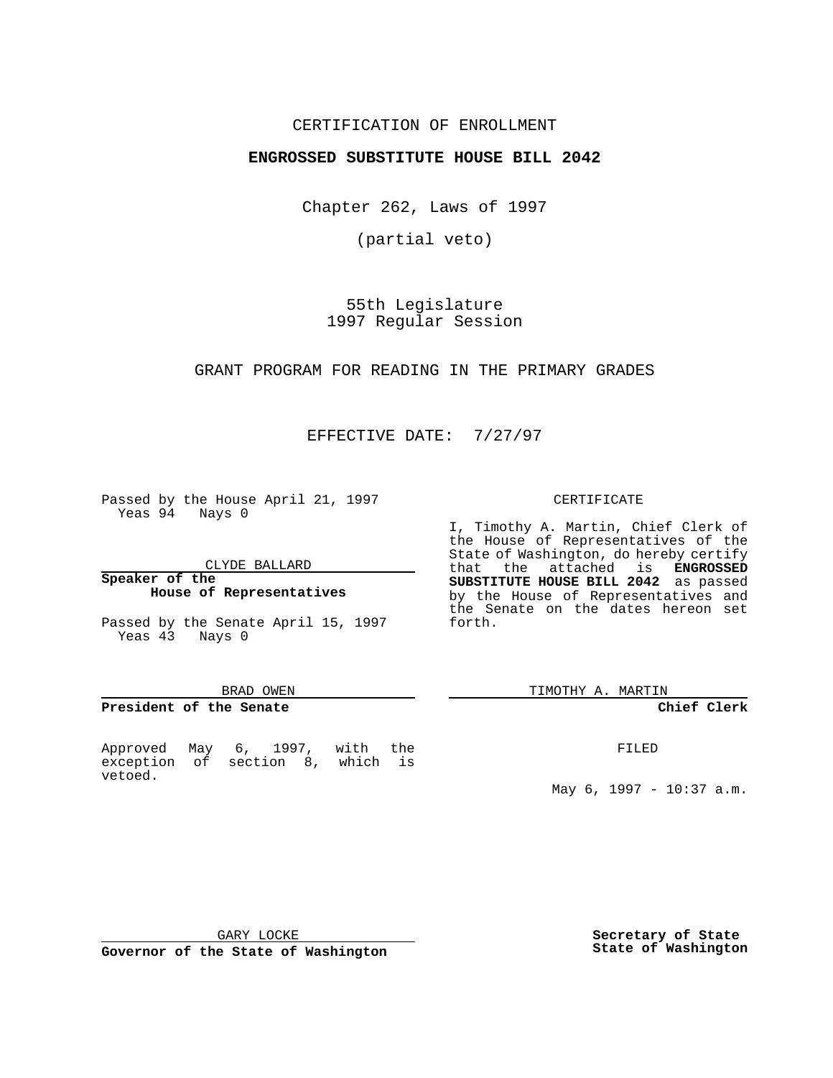## CERTIFICATION OF ENROLLMENT

# **ENGROSSED SUBSTITUTE HOUSE BILL 2042**

Chapter 262, Laws of 1997

(partial veto)

55th Legislature 1997 Regular Session

GRANT PROGRAM FOR READING IN THE PRIMARY GRADES

EFFECTIVE DATE: 7/27/97

Passed by the House April 21, 1997 Yeas 94 Nays 0

CLYDE BALLARD

**Speaker of the House of Representatives**

Passed by the Senate April 15, 1997 Yeas 43 Nays 0

#### BRAD OWEN

## **President of the Senate**

Approved May 6, 1997, with the exception of section 8, which is vetoed.

#### CERTIFICATE

I, Timothy A. Martin, Chief Clerk of the House of Representatives of the State of Washington, do hereby certify that the attached is **ENGROSSED SUBSTITUTE HOUSE BILL 2042** as passed by the House of Representatives and the Senate on the dates hereon set forth.

TIMOTHY A. MARTIN

## **Chief Clerk**

FILED

May 6, 1997 - 10:37 a.m.

GARY LOCKE

**Governor of the State of Washington**

**Secretary of State State of Washington**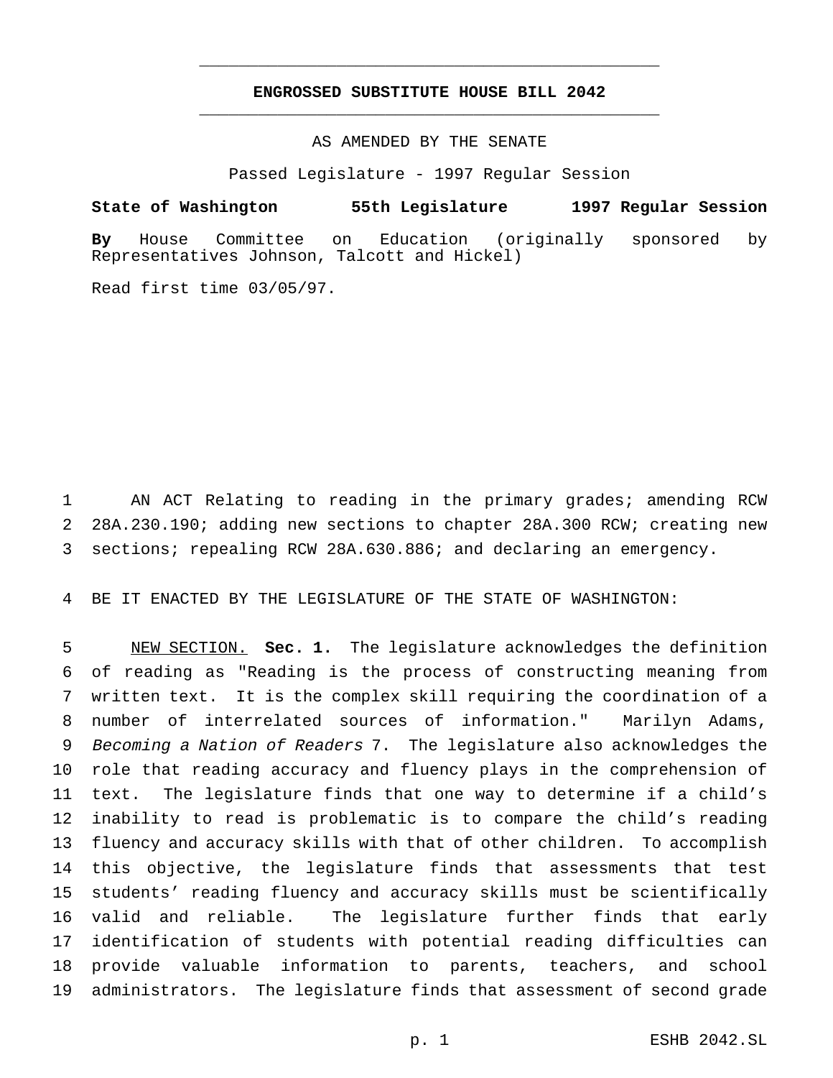# **ENGROSSED SUBSTITUTE HOUSE BILL 2042** \_\_\_\_\_\_\_\_\_\_\_\_\_\_\_\_\_\_\_\_\_\_\_\_\_\_\_\_\_\_\_\_\_\_\_\_\_\_\_\_\_\_\_\_\_\_\_

\_\_\_\_\_\_\_\_\_\_\_\_\_\_\_\_\_\_\_\_\_\_\_\_\_\_\_\_\_\_\_\_\_\_\_\_\_\_\_\_\_\_\_\_\_\_\_

## AS AMENDED BY THE SENATE

Passed Legislature - 1997 Regular Session

# **State of Washington 55th Legislature 1997 Regular Session**

**By** House Committee on Education (originally sponsored by Representatives Johnson, Talcott and Hickel)

Read first time 03/05/97.

 AN ACT Relating to reading in the primary grades; amending RCW 28A.230.190; adding new sections to chapter 28A.300 RCW; creating new sections; repealing RCW 28A.630.886; and declaring an emergency.

BE IT ENACTED BY THE LEGISLATURE OF THE STATE OF WASHINGTON:

 NEW SECTION. **Sec. 1.** The legislature acknowledges the definition of reading as "Reading is the process of constructing meaning from written text. It is the complex skill requiring the coordination of a number of interrelated sources of information." Marilyn Adams, Becoming <sup>a</sup> Nation of Readers 7. The legislature also acknowledges the role that reading accuracy and fluency plays in the comprehension of text. The legislature finds that one way to determine if a child's inability to read is problematic is to compare the child's reading fluency and accuracy skills with that of other children. To accomplish this objective, the legislature finds that assessments that test students' reading fluency and accuracy skills must be scientifically valid and reliable. The legislature further finds that early identification of students with potential reading difficulties can provide valuable information to parents, teachers, and school administrators. The legislature finds that assessment of second grade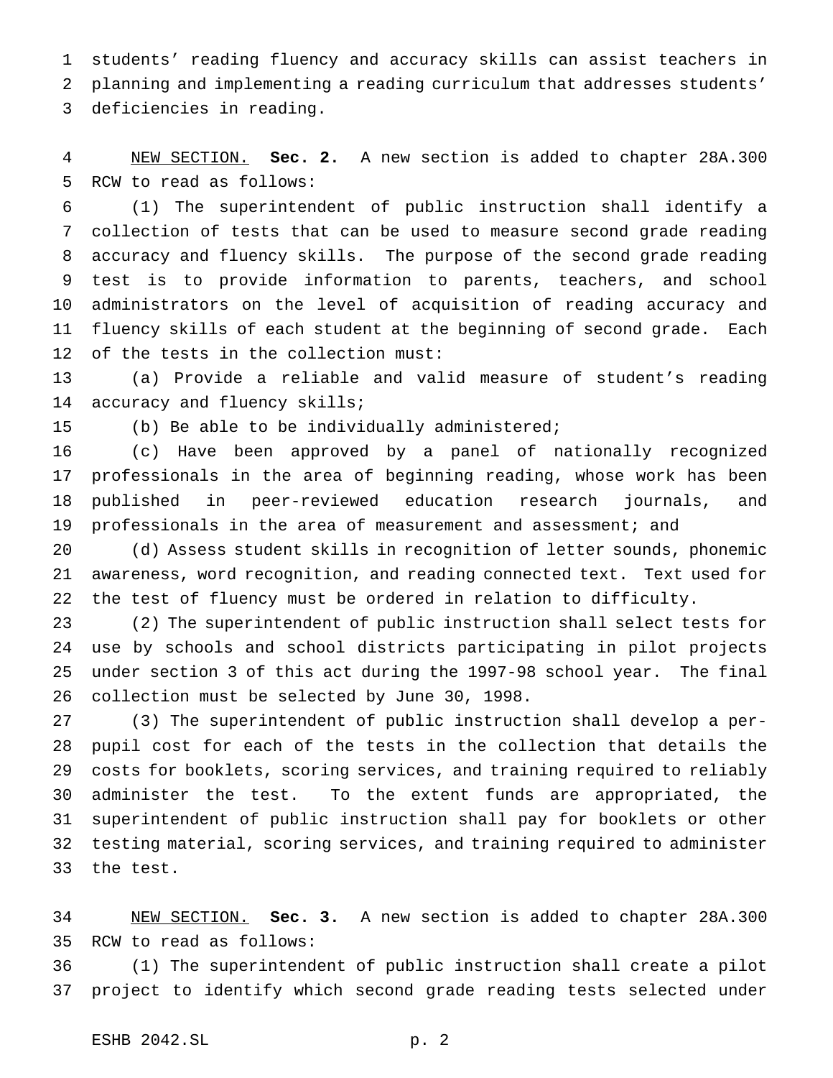students' reading fluency and accuracy skills can assist teachers in planning and implementing a reading curriculum that addresses students' deficiencies in reading.

 NEW SECTION. **Sec. 2.** A new section is added to chapter 28A.300 RCW to read as follows:

 (1) The superintendent of public instruction shall identify a collection of tests that can be used to measure second grade reading accuracy and fluency skills. The purpose of the second grade reading test is to provide information to parents, teachers, and school administrators on the level of acquisition of reading accuracy and fluency skills of each student at the beginning of second grade. Each of the tests in the collection must:

 (a) Provide a reliable and valid measure of student's reading 14 accuracy and fluency skills;

(b) Be able to be individually administered;

 (c) Have been approved by a panel of nationally recognized professionals in the area of beginning reading, whose work has been published in peer-reviewed education research journals, and professionals in the area of measurement and assessment; and

 (d) Assess student skills in recognition of letter sounds, phonemic awareness, word recognition, and reading connected text. Text used for the test of fluency must be ordered in relation to difficulty.

 (2) The superintendent of public instruction shall select tests for use by schools and school districts participating in pilot projects under section 3 of this act during the 1997-98 school year. The final collection must be selected by June 30, 1998.

 (3) The superintendent of public instruction shall develop a per- pupil cost for each of the tests in the collection that details the costs for booklets, scoring services, and training required to reliably administer the test. To the extent funds are appropriated, the superintendent of public instruction shall pay for booklets or other testing material, scoring services, and training required to administer the test.

 NEW SECTION. **Sec. 3.** A new section is added to chapter 28A.300 RCW to read as follows:

 (1) The superintendent of public instruction shall create a pilot project to identify which second grade reading tests selected under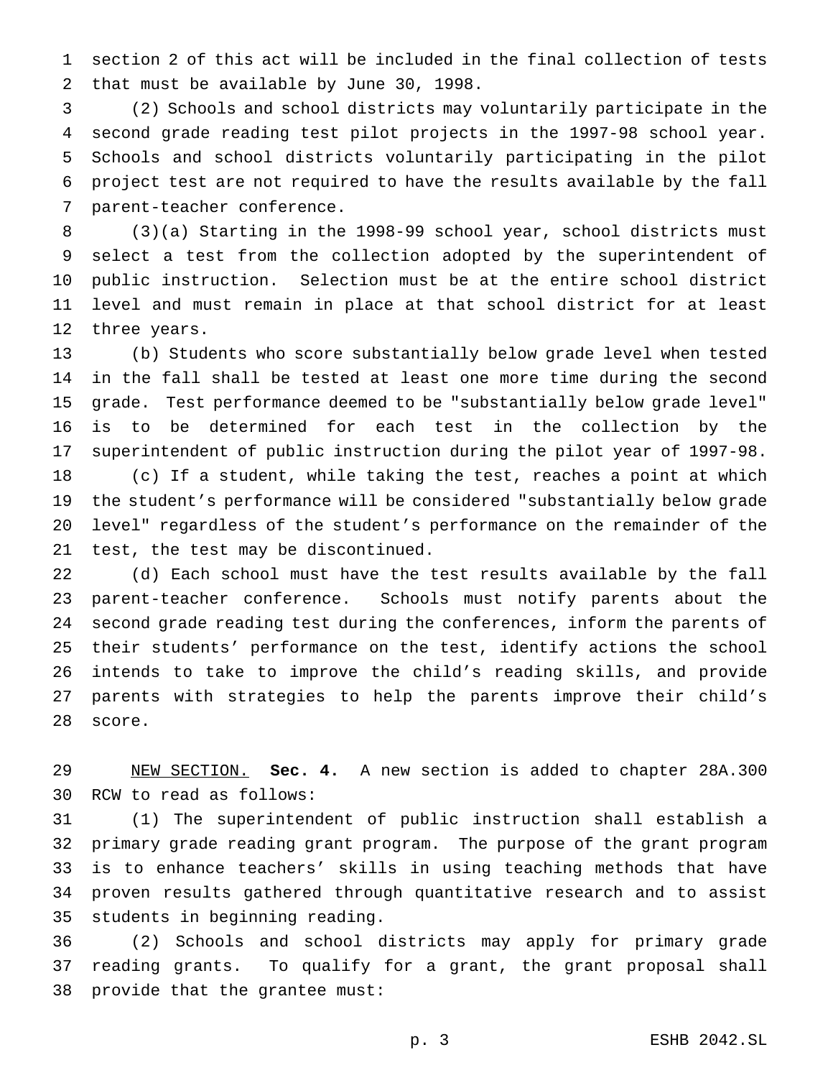section 2 of this act will be included in the final collection of tests that must be available by June 30, 1998.

 (2) Schools and school districts may voluntarily participate in the second grade reading test pilot projects in the 1997-98 school year. Schools and school districts voluntarily participating in the pilot project test are not required to have the results available by the fall parent-teacher conference.

 (3)(a) Starting in the 1998-99 school year, school districts must select a test from the collection adopted by the superintendent of public instruction. Selection must be at the entire school district level and must remain in place at that school district for at least three years.

 (b) Students who score substantially below grade level when tested in the fall shall be tested at least one more time during the second grade. Test performance deemed to be "substantially below grade level" is to be determined for each test in the collection by the superintendent of public instruction during the pilot year of 1997-98. (c) If a student, while taking the test, reaches a point at which the student's performance will be considered "substantially below grade level" regardless of the student's performance on the remainder of the test, the test may be discontinued.

 (d) Each school must have the test results available by the fall parent-teacher conference. Schools must notify parents about the second grade reading test during the conferences, inform the parents of their students' performance on the test, identify actions the school intends to take to improve the child's reading skills, and provide parents with strategies to help the parents improve their child's score.

 NEW SECTION. **Sec. 4.** A new section is added to chapter 28A.300 RCW to read as follows:

 (1) The superintendent of public instruction shall establish a primary grade reading grant program. The purpose of the grant program is to enhance teachers' skills in using teaching methods that have proven results gathered through quantitative research and to assist students in beginning reading.

 (2) Schools and school districts may apply for primary grade reading grants. To qualify for a grant, the grant proposal shall provide that the grantee must: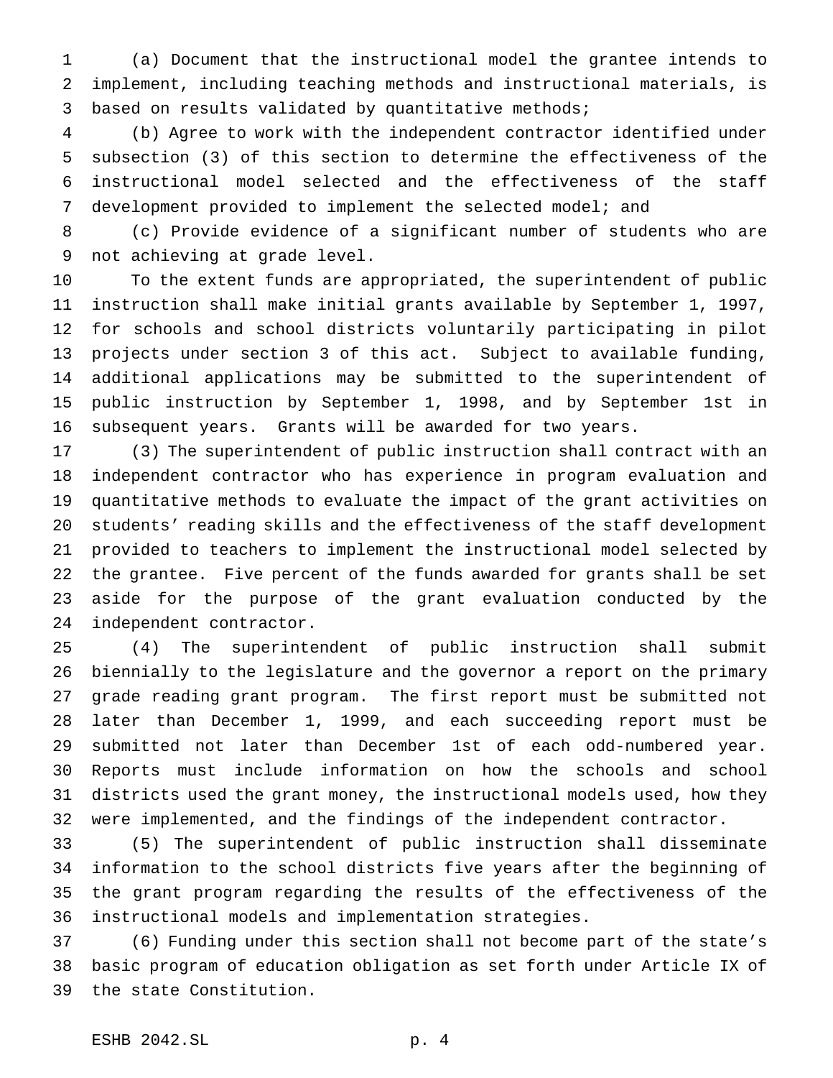(a) Document that the instructional model the grantee intends to implement, including teaching methods and instructional materials, is based on results validated by quantitative methods;

 (b) Agree to work with the independent contractor identified under subsection (3) of this section to determine the effectiveness of the instructional model selected and the effectiveness of the staff development provided to implement the selected model; and

 (c) Provide evidence of a significant number of students who are not achieving at grade level.

 To the extent funds are appropriated, the superintendent of public instruction shall make initial grants available by September 1, 1997, for schools and school districts voluntarily participating in pilot projects under section 3 of this act. Subject to available funding, additional applications may be submitted to the superintendent of public instruction by September 1, 1998, and by September 1st in subsequent years. Grants will be awarded for two years.

 (3) The superintendent of public instruction shall contract with an independent contractor who has experience in program evaluation and quantitative methods to evaluate the impact of the grant activities on students' reading skills and the effectiveness of the staff development provided to teachers to implement the instructional model selected by the grantee. Five percent of the funds awarded for grants shall be set aside for the purpose of the grant evaluation conducted by the independent contractor.

 (4) The superintendent of public instruction shall submit biennially to the legislature and the governor a report on the primary grade reading grant program. The first report must be submitted not later than December 1, 1999, and each succeeding report must be submitted not later than December 1st of each odd-numbered year. Reports must include information on how the schools and school districts used the grant money, the instructional models used, how they were implemented, and the findings of the independent contractor.

 (5) The superintendent of public instruction shall disseminate information to the school districts five years after the beginning of the grant program regarding the results of the effectiveness of the instructional models and implementation strategies.

 (6) Funding under this section shall not become part of the state's basic program of education obligation as set forth under Article IX of the state Constitution.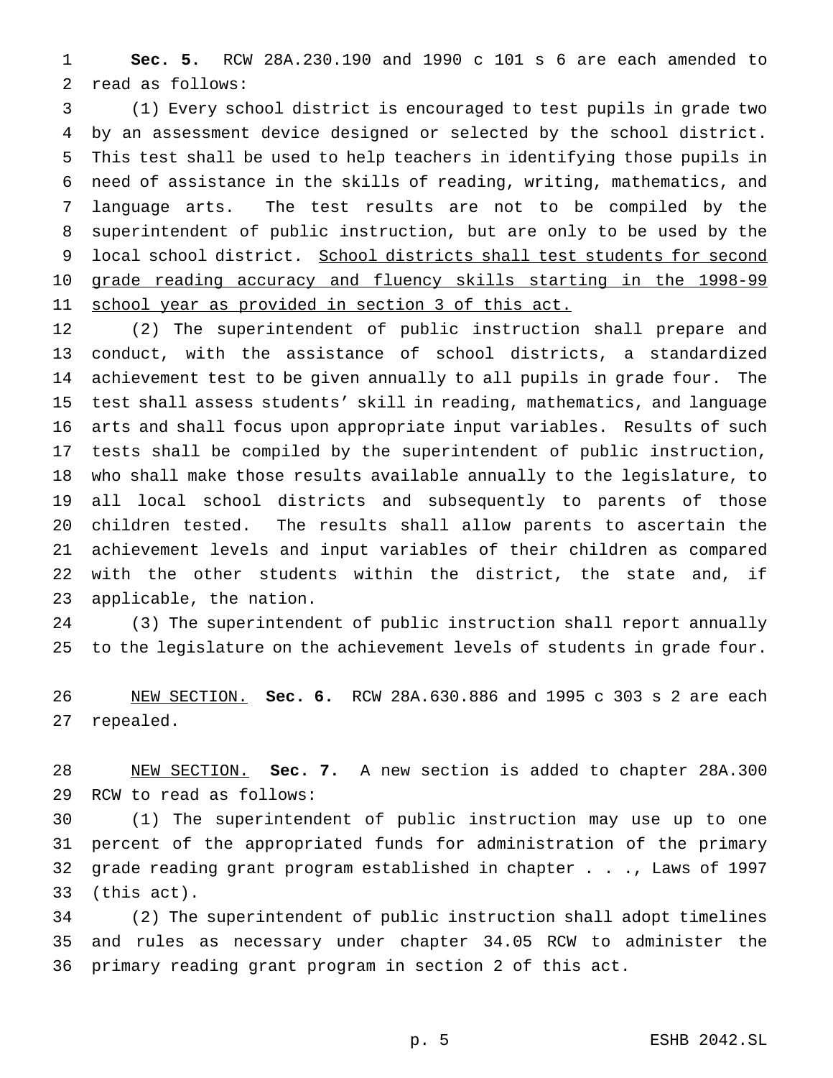**Sec. 5.** RCW 28A.230.190 and 1990 c 101 s 6 are each amended to read as follows:

 (1) Every school district is encouraged to test pupils in grade two by an assessment device designed or selected by the school district. This test shall be used to help teachers in identifying those pupils in need of assistance in the skills of reading, writing, mathematics, and language arts. The test results are not to be compiled by the superintendent of public instruction, but are only to be used by the local school district. School districts shall test students for second grade reading accuracy and fluency skills starting in the 1998-99 11 school year as provided in section 3 of this act.

 (2) The superintendent of public instruction shall prepare and conduct, with the assistance of school districts, a standardized achievement test to be given annually to all pupils in grade four. The test shall assess students' skill in reading, mathematics, and language arts and shall focus upon appropriate input variables. Results of such tests shall be compiled by the superintendent of public instruction, who shall make those results available annually to the legislature, to all local school districts and subsequently to parents of those children tested. The results shall allow parents to ascertain the achievement levels and input variables of their children as compared with the other students within the district, the state and, if applicable, the nation.

 (3) The superintendent of public instruction shall report annually to the legislature on the achievement levels of students in grade four.

 NEW SECTION. **Sec. 6.** RCW 28A.630.886 and 1995 c 303 s 2 are each repealed.

 NEW SECTION. **Sec. 7.** A new section is added to chapter 28A.300 RCW to read as follows:

 (1) The superintendent of public instruction may use up to one percent of the appropriated funds for administration of the primary grade reading grant program established in chapter . . ., Laws of 1997 (this act).

 (2) The superintendent of public instruction shall adopt timelines and rules as necessary under chapter 34.05 RCW to administer the primary reading grant program in section 2 of this act.